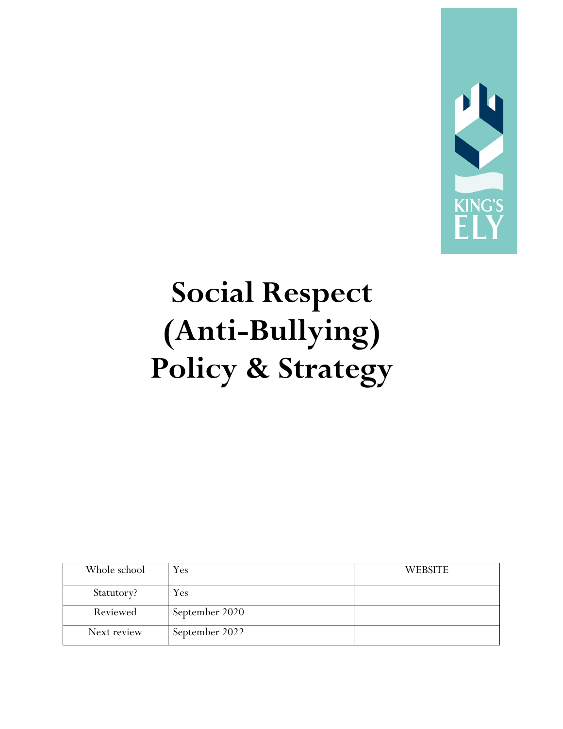

# **Social Respect (Anti-Bullying) Policy & Strategy**

| Whole school | Yes            | <b>WEBSITE</b> |
|--------------|----------------|----------------|
| Statutory?   | Yes            |                |
| Reviewed     | September 2020 |                |
| Next review  | September 2022 |                |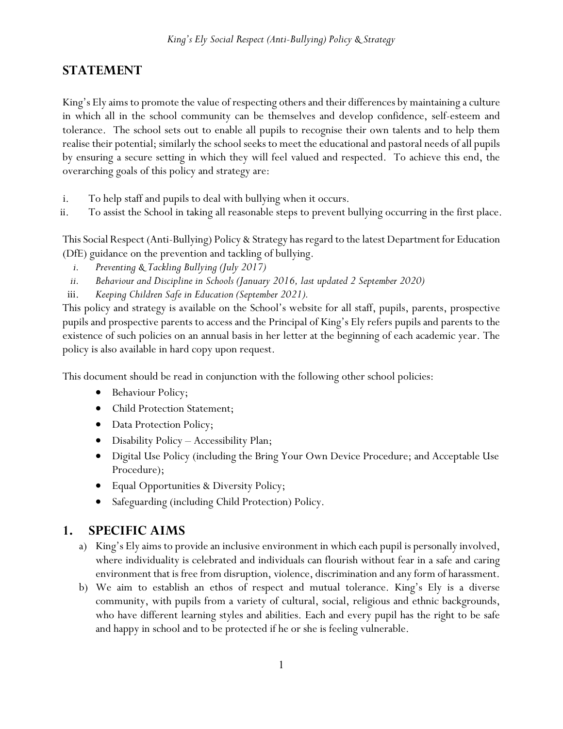# **STATEMENT**

King's Ely aims to promote the value of respecting others and their differences by maintaining a culture in which all in the school community can be themselves and develop confidence, self-esteem and tolerance. The school sets out to enable all pupils to recognise their own talents and to help them realise their potential; similarly the school seeks to meet the educational and pastoral needs of all pupils by ensuring a secure setting in which they will feel valued and respected. To achieve this end, the overarching goals of this policy and strategy are:

- i. To help staff and pupils to deal with bullying when it occurs.
- ii. To assist the School in taking all reasonable steps to prevent bullying occurring in the first place.

This Social Respect (Anti-Bullying) Policy & Strategy has regard to the latest Department for Education (DfE) guidance on the prevention and tackling of bullying.

- *i. [Preventing & Tackling Bullying](https://www.gov.uk/government/uploads/system/uploads/attachment_data/file/368340/preventing_and_tackling_bullying_october14.pdf) (July 2017)*
- *ii. Behaviour and Discipline in Schools (January 2016, last updated 2 September 2020)*
- iii. *Keeping Children Safe in Education (September 2021).*

This policy and strategy is available on the School's website for all staff, pupils, parents, prospective pupils and prospective parents to access and the Principal of King's Ely refers pupils and parents to the existence of such policies on an annual basis in her letter at the beginning of each academic year. The policy is also available in hard copy upon request.

This document should be read in conjunction with the following other school policies:

- Behaviour Policy;
- Child Protection Statement;
- Data Protection Policy;
- Disability Policy Accessibility Plan;
- Digital Use Policy (including the Bring Your Own Device Procedure; and Acceptable Use Procedure);
- Equal Opportunities & Diversity Policy;
- Safeguarding (including Child Protection) Policy.

# **1. SPECIFIC AIMS**

- a) King's Ely aims to provide an inclusive environment in which each pupil is personally involved, where individuality is celebrated and individuals can flourish without fear in a safe and caring environment that is free from disruption, violence, discrimination and any form of harassment.
- b) We aim to establish an ethos of respect and mutual tolerance. King's Ely is a diverse community, with pupils from a variety of cultural, social, religious and ethnic backgrounds, who have different learning styles and abilities. Each and every pupil has the right to be safe and happy in school and to be protected if he or she is feeling vulnerable.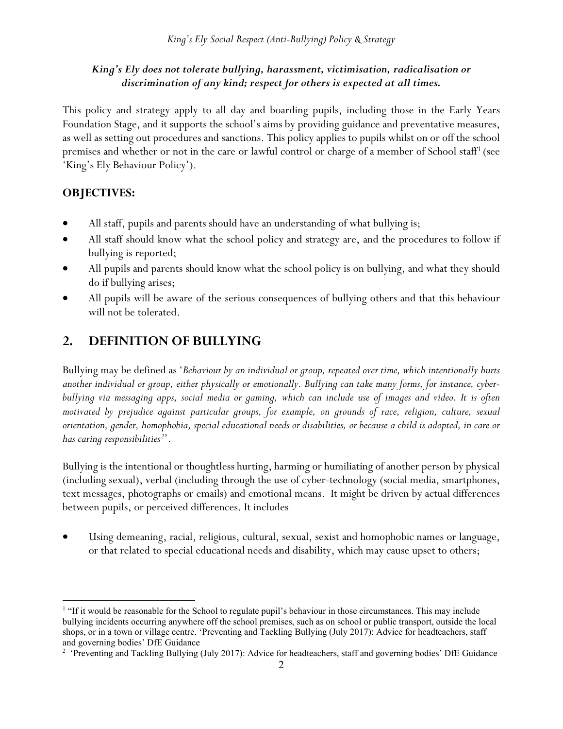# *King's Ely does not tolerate bullying, harassment, victimisation, radicalisation or discrimination of any kind; respect for others is expected at all times.*

This policy and strategy apply to all day and boarding pupils, including those in the Early Years Foundation Stage, and it supports the school's aims by providing guidance and preventative measures, as well as setting out procedures and sanctions. This policy applies to pupils whilst on or off the school premises and whether or not in the care or lawful control or charge of a member of School staff[1](#page-2-0) (see 'King's Ely Behaviour Policy').

# **OBJECTIVES:**

- All staff, pupils and parents should have an understanding of what bullying is;
- All staff should know what the school policy and strategy are, and the procedures to follow if bullying is reported;
- All pupils and parents should know what the school policy is on bullying, and what they should do if bullying arises;
- All pupils will be aware of the serious consequences of bullying others and that this behaviour will not be tolerated.

# **2. DEFINITION OF BULLYING**

Bullying may be defined as '*Behaviour by an individual or group, repeated over time, which intentionally hurts another individual or group, either physically or emotionally. Bullying can take many forms, for instance, cyberbullying via messaging apps, social media or gaming, which can include use of images and video. It is often motivated by prejudice against particular groups, for example, on grounds of race, religion, culture, sexual orientation, gender, homophobia, special educational needs or disabilities, or because a child is adopted, in care or has caring responsibilities[2](#page-2-1)* '.

Bullying is the intentional or thoughtless hurting, harming or humiliating of another person by physical (including sexual), verbal (including through the use of cyber-technology (social media, smartphones, text messages, photographs or emails) and emotional means. It might be driven by actual differences between pupils, or perceived differences. It includes

• Using demeaning, racial, religious, cultural, sexual, sexist and homophobic names or language, or that related to special educational needs and disability, which may cause upset to others;

<span id="page-2-0"></span><sup>&</sup>lt;sup>1</sup> "If it would be reasonable for the School to regulate pupil's behaviour in those circumstances. This may include bullying incidents occurring anywhere off the school premises, such as on school or public transport, outside the local shops, or in a town or village centre. 'Preventing and Tackling Bullying (July 2017): Advice for headteachers, staff and governing bodies' DfE Guidance

<span id="page-2-1"></span><sup>&</sup>lt;sup>2</sup> 'Preventing and Tackling Bullying (July 2017): Advice for headteachers, staff and governing bodies' DfE Guidance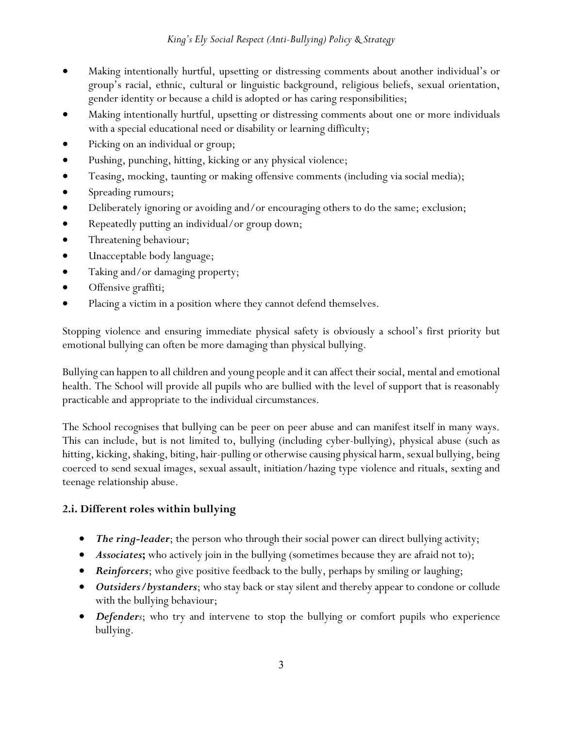- Making intentionally hurtful, upsetting or distressing comments about another individual's or group's racial, ethnic, cultural or linguistic background, religious beliefs, sexual orientation, gender identity or because a child is adopted or has caring responsibilities;
- Making intentionally hurtful, upsetting or distressing comments about one or more individuals with a special educational need or disability or learning difficulty;
- Picking on an individual or group;
- Pushing, punching, hitting, kicking or any physical violence;
- Teasing, mocking, taunting or making offensive comments (including via social media);
- Spreading rumours;
- Deliberately ignoring or avoiding and/or encouraging others to do the same; exclusion;
- Repeatedly putting an individual/or group down;
- Threatening behaviour;
- Unacceptable body language;
- Taking and/or damaging property;
- Offensive graffiti;
- Placing a victim in a position where they cannot defend themselves.

Stopping violence and ensuring immediate physical safety is obviously a school's first priority but emotional bullying can often be more damaging than physical bullying.

Bullying can happen to all children and young people and it can affect their social, mental and emotional health. The School will provide all pupils who are bullied with the level of support that is reasonably practicable and appropriate to the individual circumstances.

The School recognises that bullying can be peer on peer abuse and can manifest itself in many ways. This can include, but is not limited to, bullying (including cyber-bullying), physical abuse (such as hitting, kicking, shaking, biting, hair-pulling or otherwise causing physical harm, sexual bullying, being coerced to send sexual images, sexual assault, initiation/hazing type violence and rituals, sexting and teenage relationship abuse.

# **2.i. Different roles within bullying**

- *The ring-leader*; the person who through their social power can direct bullying activity;
- *Associates***;** who actively join in the bullying (sometimes because they are afraid not to);
- *Reinforcers*; who give positive feedback to the bully, perhaps by smiling or laughing;
- *Outsiders/bystanders*; who stay back or stay silent and thereby appear to condone or collude with the bullying behaviour;
- *Defenders*; who try and intervene to stop the bullying or comfort pupils who experience bullying.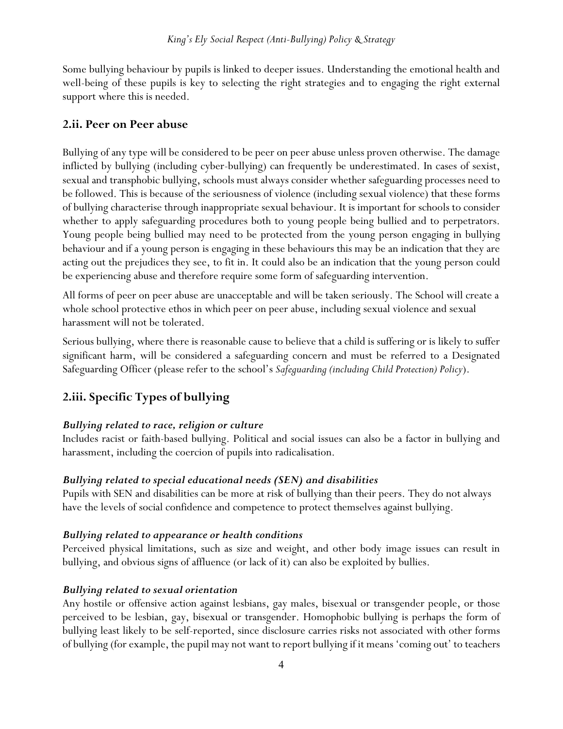Some bullying behaviour by pupils is linked to deeper issues. Understanding the emotional health and well-being of these pupils is key to selecting the right strategies and to engaging the right external support where this is needed.

## **2.ii. Peer on Peer abuse**

Bullying of any type will be considered to be peer on peer abuse unless proven otherwise. The damage inflicted by bullying (including cyber-bullying) can frequently be underestimated. In cases of sexist, sexual and transphobic bullying, schools must always consider whether safeguarding processes need to be followed. This is because of the seriousness of violence (including sexual violence) that these forms of bullying characterise through inappropriate sexual behaviour. It is important for schools to consider whether to apply safeguarding procedures both to young people being bullied and to perpetrators. Young people being bullied may need to be protected from the young person engaging in bullying behaviour and if a young person is engaging in these behaviours this may be an indication that they are acting out the prejudices they see, to fit in. It could also be an indication that the young person could be experiencing abuse and therefore require some form of safeguarding intervention.

All forms of peer on peer abuse are unacceptable and will be taken seriously. The School will create a whole school protective ethos in which peer on peer abuse, including sexual violence and sexual harassment will not be tolerated.

Serious bullying, where there is reasonable cause to believe that a child is suffering or is likely to suffer significant harm, will be considered a safeguarding concern and must be referred to a Designated Safeguarding Officer (please refer to the school's *Safeguarding (including Child Protection) Policy*).

# **2.iii. Specific Types of bullying**

## *Bullying related to race, religion or culture*

Includes racist or faith-based bullying. Political and social issues can also be a factor in bullying and harassment, including the coercion of pupils into radicalisation.

## *Bullying related to special educational needs (SEN) and disabilities*

Pupils with SEN and disabilities can be more at risk of bullying than their peers. They do not always have the levels of social confidence and competence to protect themselves against bullying.

## *Bullying related to appearance or health conditions*

Perceived physical limitations, such as size and weight, and other body image issues can result in bullying, and obvious signs of affluence (or lack of it) can also be exploited by bullies.

## *Bullying related to sexual orientation*

Any hostile or offensive action against lesbians, gay males, bisexual or transgender people, or those perceived to be lesbian, gay, bisexual or transgender. Homophobic bullying is perhaps the form of bullying least likely to be self-reported, since disclosure carries risks not associated with other forms of bullying (for example, the pupil may not want to report bullying if it means 'coming out' to teachers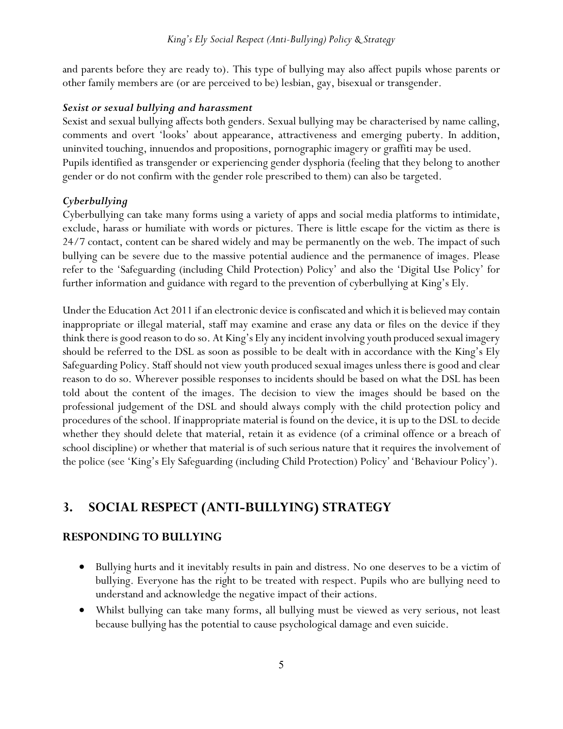and parents before they are ready to). This type of bullying may also affect pupils whose parents or other family members are (or are perceived to be) lesbian, gay, bisexual or transgender.

#### *Sexist or sexual bullying and harassment*

Sexist and sexual bullying affects both genders. Sexual bullying may be characterised by name calling, comments and overt 'looks' about appearance, attractiveness and emerging puberty. In addition, uninvited touching, innuendos and propositions, pornographic imagery or graffiti may be used. Pupils identified as transgender or experiencing gender dysphoria (feeling that they belong to another gender or do not confirm with the gender role prescribed to them) can also be targeted.

## *Cyberbullying*

Cyberbullying can take many forms using a variety of apps and social media platforms to intimidate, exclude, harass or humiliate with words or pictures. There is little escape for the victim as there is 24/7 contact, content can be shared widely and may be permanently on the web. The impact of such bullying can be severe due to the massive potential audience and the permanence of images. Please refer to the 'Safeguarding (including Child Protection) Policy' and also the 'Digital Use Policy' for further information and guidance with regard to the prevention of cyberbullying at King's Ely.

Under the Education Act 2011 if an electronic device is confiscated and which it is believed may contain inappropriate or illegal material, staff may examine and erase any data or files on the device if they think there is good reason to do so. At King's Ely any incident involving youth produced sexual imagery should be referred to the DSL as soon as possible to be dealt with in accordance with the King's Ely Safeguarding Policy. Staff should not view youth produced sexual images unless there is good and clear reason to do so. Wherever possible responses to incidents should be based on what the DSL has been told about the content of the images. The decision to view the images should be based on the professional judgement of the DSL and should always comply with the child protection policy and procedures of the school. If inappropriate material is found on the device, it is up to the DSL to decide whether they should delete that material, retain it as evidence (of a criminal offence or a breach of school discipline) or whether that material is of such serious nature that it requires the involvement of the police (see 'King's Ely Safeguarding (including Child Protection) Policy' and 'Behaviour Policy').

# **3. SOCIAL RESPECT (ANTI-BULLYING) STRATEGY**

# **RESPONDING TO BULLYING**

- Bullying hurts and it inevitably results in pain and distress. No one deserves to be a victim of bullying. Everyone has the right to be treated with respect. Pupils who are bullying need to understand and acknowledge the negative impact of their actions.
- Whilst bullying can take many forms, all bullying must be viewed as very serious, not least because bullying has the potential to cause psychological damage and even suicide.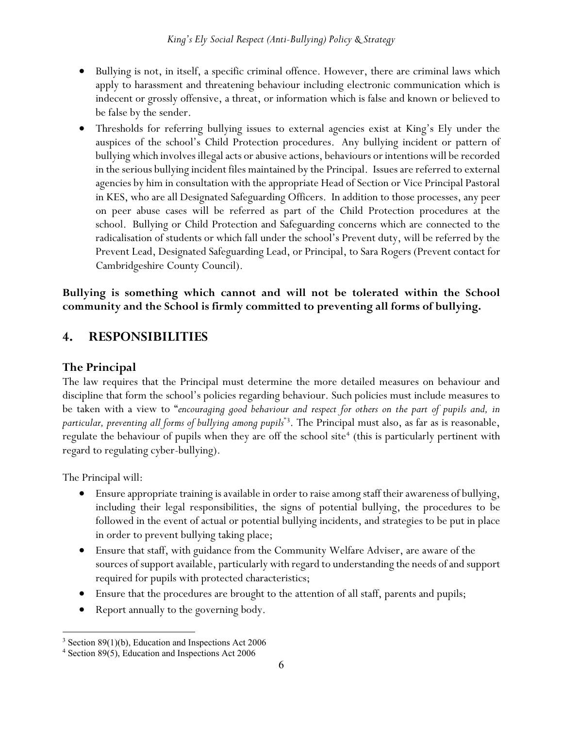- Bullying is not, in itself, a specific criminal offence. However, there are criminal laws which apply to harassment and threatening behaviour including electronic communication which is indecent or grossly offensive, a threat, or information which is false and known or believed to be false by the sender.
- Thresholds for referring bullying issues to external agencies exist at King's Ely under the auspices of the school's Child Protection procedures. Any bullying incident or pattern of bullying which involves illegal acts or abusive actions, behaviours or intentions will be recorded in the serious bullying incident files maintained by the Principal. Issues are referred to external agencies by him in consultation with the appropriate Head of Section or Vice Principal Pastoral in KES, who are all Designated Safeguarding Officers. In addition to those processes, any peer on peer abuse cases will be referred as part of the Child Protection procedures at the school. Bullying or Child Protection and Safeguarding concerns which are connected to the radicalisation of students or which fall under the school's Prevent duty, will be referred by the Prevent Lead, Designated Safeguarding Lead, or Principal, to Sara Rogers (Prevent contact for Cambridgeshire County Council).

# **Bullying is something which cannot and will not be tolerated within the School community and the School is firmly committed to preventing all forms of bullying.**

# **4. RESPONSIBILITIES**

# **The Principal**

The law requires that the Principal must determine the more detailed measures on behaviour and discipline that form the school's policies regarding behaviour. Such policies must include measures to be taken with a view to "*encouraging good behaviour and respect for others on the part of pupils and, in particular, preventing all forms of bullying among pupils*"[3](#page-6-0) . The Principal must also, as far as is reasonable, regulate the behaviour of pupils when they are off the school site<sup> $+$ </sup> (this is particularly pertinent with regard to regulating cyber-bullying).

The Principal will:

- Ensure appropriate training is available in order to raise among staff their awareness of bullying, including their legal responsibilities, the signs of potential bullying, the procedures to be followed in the event of actual or potential bullying incidents, and strategies to be put in place in order to prevent bullying taking place;
- Ensure that staff, with guidance from the Community Welfare Adviser, are aware of the sources of support available, particularly with regard to understanding the needs of and support required for pupils with protected characteristics;
- Ensure that the procedures are brought to the attention of all staff, parents and pupils;
- Report annually to the governing body.

<span id="page-6-0"></span> $3$  Section 89(1)(b), Education and Inspections Act 2006

<span id="page-6-1"></span><sup>4</sup> Section 89(5), Education and Inspections Act 2006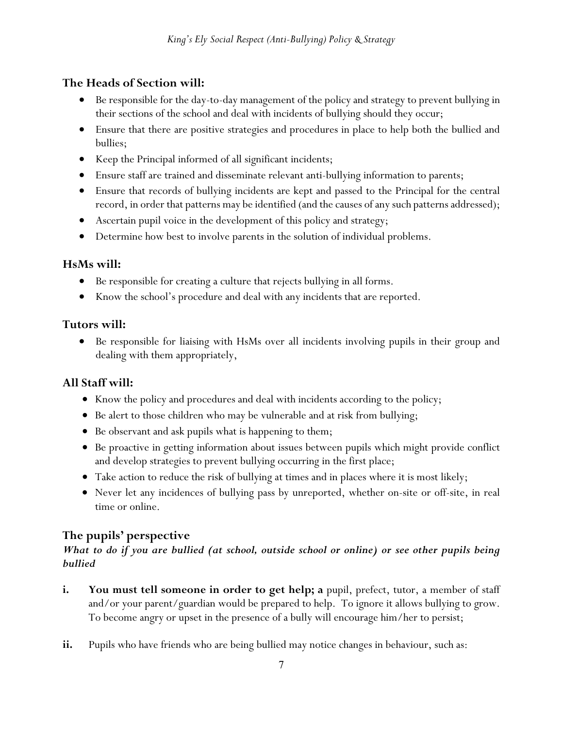# **The Heads of Section will:**

- Be responsible for the day-to-day management of the policy and strategy to prevent bullying in their sections of the school and deal with incidents of bullying should they occur;
- Ensure that there are positive strategies and procedures in place to help both the bullied and bullies;
- Keep the Principal informed of all significant incidents;
- Ensure staff are trained and disseminate relevant anti-bullying information to parents;
- Ensure that records of bullying incidents are kept and passed to the Principal for the central record, in order that patterns may be identified (and the causes of any such patterns addressed);
- Ascertain pupil voice in the development of this policy and strategy;
- Determine how best to involve parents in the solution of individual problems.

# **HsMs will:**

- Be responsible for creating a culture that rejects bullying in all forms.
- Know the school's procedure and deal with any incidents that are reported.

# **Tutors will:**

• Be responsible for liaising with HsMs over all incidents involving pupils in their group and dealing with them appropriately,

# **All Staff will:**

- Know the policy and procedures and deal with incidents according to the policy;
- Be alert to those children who may be vulnerable and at risk from bullying;
- Be observant and ask pupils what is happening to them;
- Be proactive in getting information about issues between pupils which might provide conflict and develop strategies to prevent bullying occurring in the first place;
- Take action to reduce the risk of bullying at times and in places where it is most likely;
- Never let any incidences of bullying pass by unreported, whether on-site or off-site, in real time or online.

# **The pupils' perspective**

# *What to do if you are bullied (at school, outside school or online) or see other pupils being bullied*

- **i.** You must tell someone in order to get help; a pupil, prefect, tutor, a member of staff and/or your parent/guardian would be prepared to help. To ignore it allows bullying to grow. To become angry or upset in the presence of a bully will encourage him/her to persist;
- ii. Pupils who have friends who are being bullied may notice changes in behaviour, such as: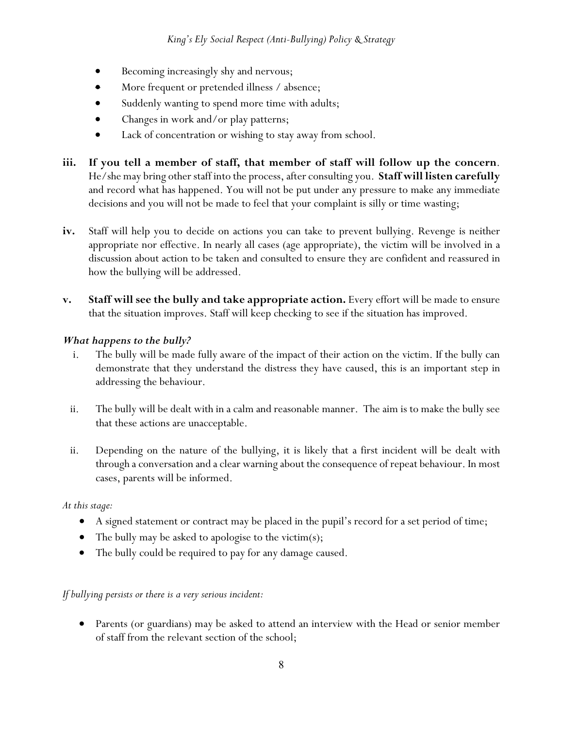- Becoming increasingly shy and nervous;
- More frequent or pretended illness / absence;
- Suddenly wanting to spend more time with adults;
- Changes in work and/or play patterns;
- Lack of concentration or wishing to stay away from school.
- **iii. If you tell a member of staff, that member of staff will follow up the concern**. He/she may bring other staff into the process, after consulting you. **Staff will listen carefully** and record what has happened. You will not be put under any pressure to make any immediate decisions and you will not be made to feel that your complaint is silly or time wasting;
- **iv.** Staff will help you to decide on actions you can take to prevent bullying. Revenge is neither appropriate nor effective. In nearly all cases (age appropriate), the victim will be involved in a discussion about action to be taken and consulted to ensure they are confident and reassured in how the bullying will be addressed.
- **v.** Staff will see the bully and take appropriate action. Every effort will be made to ensure that the situation improves. Staff will keep checking to see if the situation has improved.

#### *What happens to the bully?*

- i. The bully will be made fully aware of the impact of their action on the victim. If the bully can demonstrate that they understand the distress they have caused, this is an important step in addressing the behaviour.
- ii. The bully will be dealt with in a calm and reasonable manner. The aim is to make the bully see that these actions are unacceptable.
- ii. Depending on the nature of the bullying, it is likely that a first incident will be dealt with through a conversation and a clear warning about the consequence of repeat behaviour. In most cases, parents will be informed.

#### *At this stage:*

- A signed statement or contract may be placed in the pupil's record for a set period of time;
- The bully may be asked to apologise to the victim(s);
- The bully could be required to pay for any damage caused.

## *If bullying persists or there is a very serious incident:*

• Parents (or guardians) may be asked to attend an interview with the Head or senior member of staff from the relevant section of the school;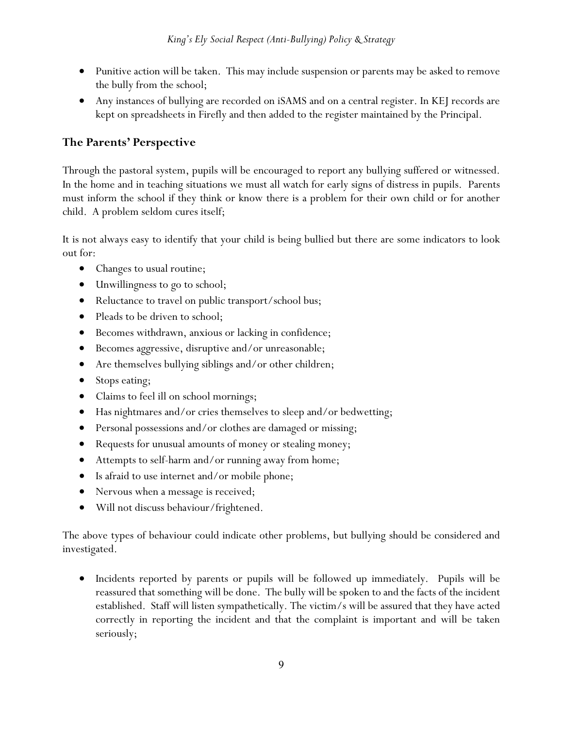- Punitive action will be taken. This may include suspension or parents may be asked to remove the bully from the school;
- Any instances of bullying are recorded on iSAMS and on a central register. In KEJ records are kept on spreadsheets in Firefly and then added to the register maintained by the Principal.

# **The Parents' Perspective**

Through the pastoral system, pupils will be encouraged to report any bullying suffered or witnessed. In the home and in teaching situations we must all watch for early signs of distress in pupils. Parents must inform the school if they think or know there is a problem for their own child or for another child. A problem seldom cures itself;

It is not always easy to identify that your child is being bullied but there are some indicators to look out for:

- Changes to usual routine;
- Unwillingness to go to school;
- Reluctance to travel on public transport/school bus;
- Pleads to be driven to school;
- Becomes withdrawn, anxious or lacking in confidence;
- Becomes aggressive, disruptive and/or unreasonable;
- Are themselves bullying siblings and/or other children;
- Stops eating;
- Claims to feel ill on school mornings;
- Has nightmares and/or cries themselves to sleep and/or bedwetting;
- Personal possessions and/or clothes are damaged or missing;
- Requests for unusual amounts of money or stealing money;
- Attempts to self-harm and/or running away from home;
- Is a fraid to use internet and/or mobile phone;
- Nervous when a message is received;
- Will not discuss behaviour/frightened.

The above types of behaviour could indicate other problems, but bullying should be considered and investigated.

• Incidents reported by parents or pupils will be followed up immediately. Pupils will be reassured that something will be done. The bully will be spoken to and the facts of the incident established. Staff will listen sympathetically. The victim/s will be assured that they have acted correctly in reporting the incident and that the complaint is important and will be taken seriously;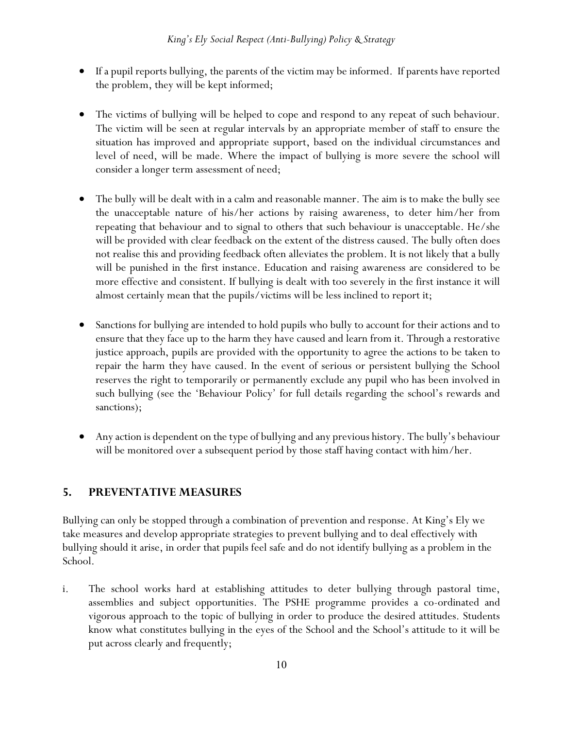- If a pupil reports bullying, the parents of the victim may be informed. If parents have reported the problem, they will be kept informed;
- The victims of bullying will be helped to cope and respond to any repeat of such behaviour. The victim will be seen at regular intervals by an appropriate member of staff to ensure the situation has improved and appropriate support, based on the individual circumstances and level of need, will be made. Where the impact of bullying is more severe the school will consider a longer term assessment of need;
- The bully will be dealt with in a calm and reasonable manner. The aim is to make the bully see the unacceptable nature of his/her actions by raising awareness, to deter him/her from repeating that behaviour and to signal to others that such behaviour is unacceptable. He/she will be provided with clear feedback on the extent of the distress caused. The bully often does not realise this and providing feedback often alleviates the problem. It is not likely that a bully will be punished in the first instance. Education and raising awareness are considered to be more effective and consistent. If bullying is dealt with too severely in the first instance it will almost certainly mean that the pupils/victims will be less inclined to report it;
- Sanctions for bullying are intended to hold pupils who bully to account for their actions and to ensure that they face up to the harm they have caused and learn from it. Through a restorative justice approach, pupils are provided with the opportunity to agree the actions to be taken to repair the harm they have caused. In the event of serious or persistent bullying the School reserves the right to temporarily or permanently exclude any pupil who has been involved in such bullying (see the 'Behaviour Policy' for full details regarding the school's rewards and sanctions);
- Any action is dependent on the type of bullying and any previous history. The bully's behaviour will be monitored over a subsequent period by those staff having contact with him/her.

## **5. PREVENTATIVE MEASURES**

Bullying can only be stopped through a combination of prevention and response. At King's Ely we take measures and develop appropriate strategies to prevent bullying and to deal effectively with bullying should it arise, in order that pupils feel safe and do not identify bullying as a problem in the School.

i. The school works hard at establishing attitudes to deter bullying through pastoral time, assemblies and subject opportunities. The PSHE programme provides a co-ordinated and vigorous approach to the topic of bullying in order to produce the desired attitudes. Students know what constitutes bullying in the eyes of the School and the School's attitude to it will be put across clearly and frequently;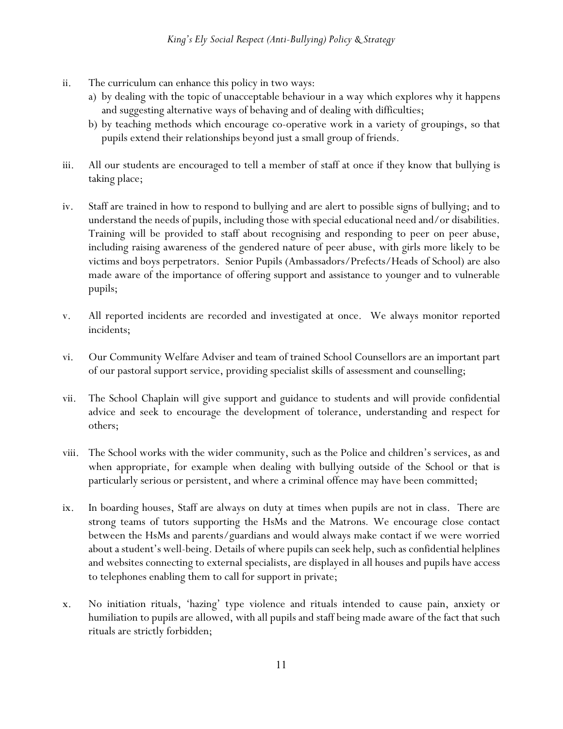- ii. The curriculum can enhance this policy in two ways:
	- a) by dealing with the topic of unacceptable behaviour in a way which explores why it happens and suggesting alternative ways of behaving and of dealing with difficulties;
	- b) by teaching methods which encourage co-operative work in a variety of groupings, so that pupils extend their relationships beyond just a small group of friends.
- iii. All our students are encouraged to tell a member of staff at once if they know that bullying is taking place;
- iv. Staff are trained in how to respond to bullying and are alert to possible signs of bullying; and to understand the needs of pupils, including those with special educational need and/or disabilities. Training will be provided to staff about recognising and responding to peer on peer abuse, including raising awareness of the gendered nature of peer abuse, with girls more likely to be victims and boys perpetrators. Senior Pupils (Ambassadors/Prefects/Heads of School) are also made aware of the importance of offering support and assistance to younger and to vulnerable pupils;
- v. All reported incidents are recorded and investigated at once. We always monitor reported incidents;
- vi. Our Community Welfare Adviser and team of trained School Counsellors are an important part of our pastoral support service, providing specialist skills of assessment and counselling;
- vii. The School Chaplain will give support and guidance to students and will provide confidential advice and seek to encourage the development of tolerance, understanding and respect for others;
- viii. The School works with the wider community, such as the Police and children's services, as and when appropriate, for example when dealing with bullying outside of the School or that is particularly serious or persistent, and where a criminal offence may have been committed;
- ix. In boarding houses, Staff are always on duty at times when pupils are not in class. There are strong teams of tutors supporting the HsMs and the Matrons*.* We encourage close contact between the HsMs and parents/guardians and would always make contact if we were worried about a student's well-being. Details of where pupils can seek help, such as confidential helplines and websites connecting to external specialists, are displayed in all houses and pupils have access to telephones enabling them to call for support in private;
- x. No initiation rituals, 'hazing' type violence and rituals intended to cause pain, anxiety or humiliation to pupils are allowed, with all pupils and staff being made aware of the fact that such rituals are strictly forbidden;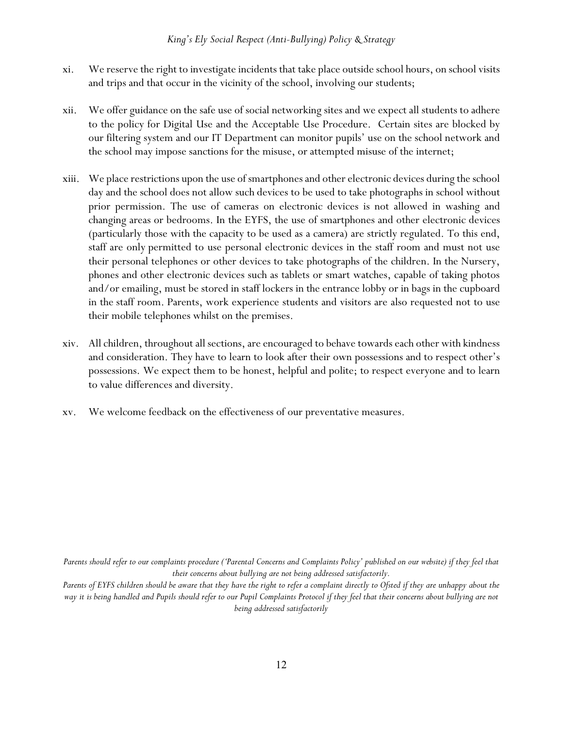- xi. We reserve the right to investigate incidents that take place outside school hours, on school visits and trips and that occur in the vicinity of the school, involving our students;
- xii. We offer guidance on the safe use of social networking sites and we expect all students to adhere to the policy for Digital Use and the Acceptable Use Procedure. Certain sites are blocked by our filtering system and our IT Department can monitor pupils' use on the school network and the school may impose sanctions for the misuse, or attempted misuse of the internet;
- xiii. We place restrictions upon the use of smartphonesand other electronic devices during the school day and the school does not allow such devices to be used to take photographs in school without prior permission. The use of cameras on electronic devices is not allowed in washing and changing areas or bedrooms. In the EYFS, the use of smartphones and other electronic devices (particularly those with the capacity to be used as a camera) are strictly regulated. To this end, staff are only permitted to use personal electronic devices in the staff room and must not use their personal telephones or other devices to take photographs of the children. In the Nursery, phones and other electronic devices such as tablets or smart watches, capable of taking photos and/or emailing, must be stored in staff lockers in the entrance lobby or in bags in the cupboard in the staff room. Parents, work experience students and visitors are also requested not to use their mobile telephones whilst on the premises.
- xiv. All children, throughout all sections, are encouraged to behave towards each other with kindness and consideration. They have to learn to look after their own possessions and to respect other's possessions. We expect them to be honest, helpful and polite; to respect everyone and to learn to value differences and diversity.
- xv. We welcome feedback on the effectiveness of our preventative measures.

*Parents should refer to our complaints procedure ('Parental Concerns and Complaints Policy' published on our website) if they feel that their concerns about bullying are not being addressed satisfactorily.*

*Parents of EYFS children should be aware that they have the right to refer a complaint directly to Ofsted if they are unhappy about the way it is being handled and Pupils should refer to our Pupil Complaints Protocol if they feel that their concerns about bullying are not being addressed satisfactorily*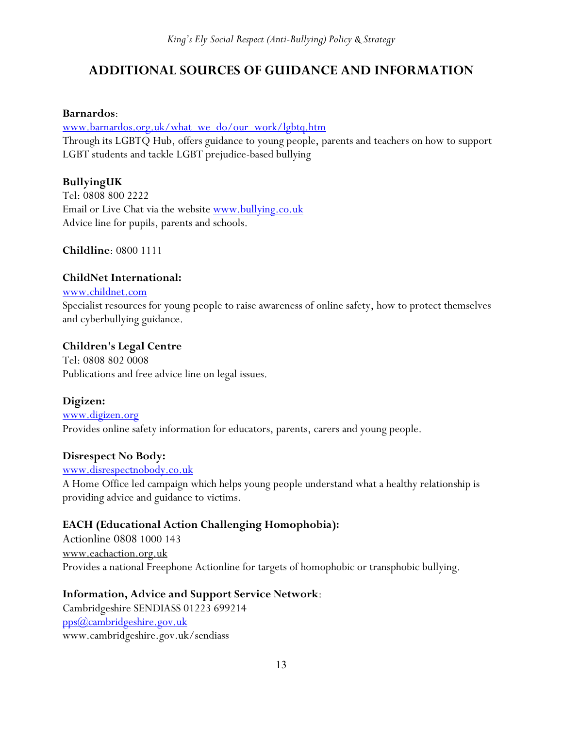# **ADDITIONAL SOURCES OF GUIDANCE AND INFORMATION**

#### **Barnardos**:

[www.barnardos.org.uk/what\\_we\\_do/our\\_work/lgbtq.htm](http://www.barnardos.org.uk/what_we_do/our_work/lgbtq.htm)

Through its LGBTQ Hub, offers guidance to young people, parents and teachers on how to support LGBT students and tackle LGBT prejudice-based bullying

## **BullyingUK**

Tel: 0808 800 2222 Email or Live Chat via the website [www.bullying.co.uk](http://www.bullying.co.uk/) Advice line for pupils, parents and schools.

**Childline**: 0800 1111

## **ChildNet International:**

#### [www.childnet.com](http://www.childnet.com/)

Specialist resources for young people to raise awareness of online safety, how to protect themselves and cyberbullying guidance.

## **Children's Legal Centre**

Tel: 0808 802 0008 Publications and free advice line on legal issues.

# **Digizen:**

#### [www.digizen.org](http://www.digizen.org/) Provides online safety information for educators, parents, carers and young people.

## **Disrespect No Body:**

#### [www.disrespectnobody.co.uk](http://www.disrespectnobody.co.uk/)

A Home Office led campaign which helps young people understand what a healthy relationship is providing advice and guidance to victims.

# **EACH (Educational Action Challenging Homophobia):**

Actionline 0808 1000 143 www.eachaction.org.uk Provides a national Freephone Actionline for targets of homophobic or transphobic bullying.

## **Information, Advice and Support Service Network**:

Cambridgeshire SENDIASS 01223 699214 [pps@cambridgeshire.gov.uk](mailto:pps@cambridgeshire.gov.uk) www.cambridgeshire.gov.uk/sendiass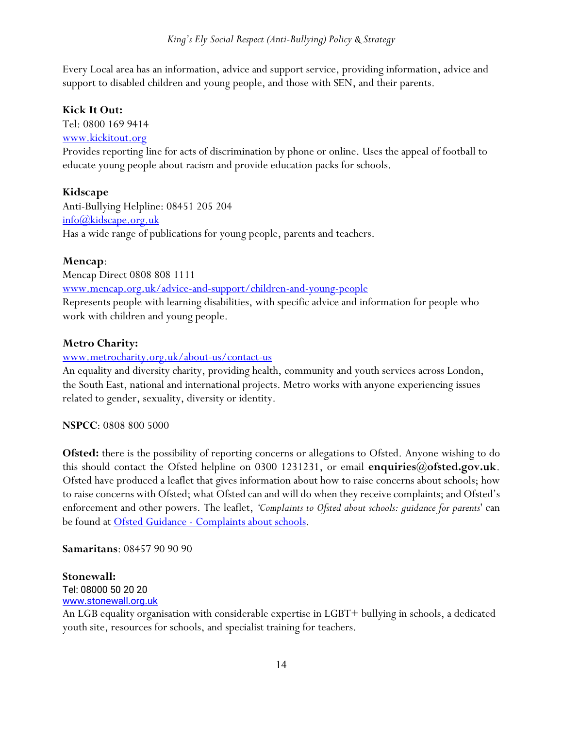Every Local area has an information, advice and support service, providing information, advice and support to disabled children and young people, and those with SEN, and their parents.

#### **Kick It Out:**

Tel: 0800 169 9414

#### [www.kickitout.org](http://www.kickitout.org/)

Provides reporting line for acts of discrimination by phone or online. Uses the appeal of football to educate young people about racism and provide education packs for schools.

#### **Kidscape**

Anti-Bullying Helpline: 08451 205 204 [info@kidscape.org.uk](mailto:info@kidscape.org.uk) Has a wide range of publications for young people, parents and teachers.

#### **Mencap**:

Mencap Direct 0808 808 1111 [www.mencap.org.uk/advice-and-support/children-and-young-people](http://www.mencap.org.uk/advice-and-support/children-and-young-people) Represents people with learning disabilities, with specific advice and information for people who work with children and young people.

#### **Metro Charity:**

#### [www.metrocharity.org.uk/about-us/contact-us](http://www.metrocharity.org.uk/about-us/contact-us)

An equality and diversity charity, providing health, community and youth services across London, the South East, national and international projects. Metro works with anyone experiencing issues related to gender, sexuality, diversity or identity.

#### **NSPCC**: 0808 800 5000

**Ofsted:** there is the possibility of reporting concerns or allegations to Ofsted. Anyone wishing to do this should contact the Ofsted helpline on 0300 1231231, or email **enquiries@ofsted.gov.uk**. Ofsted have produced a leaflet that gives information about how to raise concerns about schools; how to raise concerns with Ofsted; what Ofsted can and will do when they receive complaints; and Ofsted's enforcement and other powers. The leaflet, *'Complaints to Ofsted about schools: guidance for parents*' can be found at Ofsted Guidance - [Complaints about schools.](http://www.ofsted.gov.uk/resources/complaints-ofsted-about-schools-guidance-for-parents)

**Samaritans**: 08457 90 90 90

#### **Stonewall:**

Tel: 08000 50 20 20 [www.stonewall.org.uk](http://www.stonewall.org.uk/)

An LGB equality organisation with considerable expertise in LGBT+ bullying in schools, a dedicated youth site, resources for schools, and specialist training for teachers.